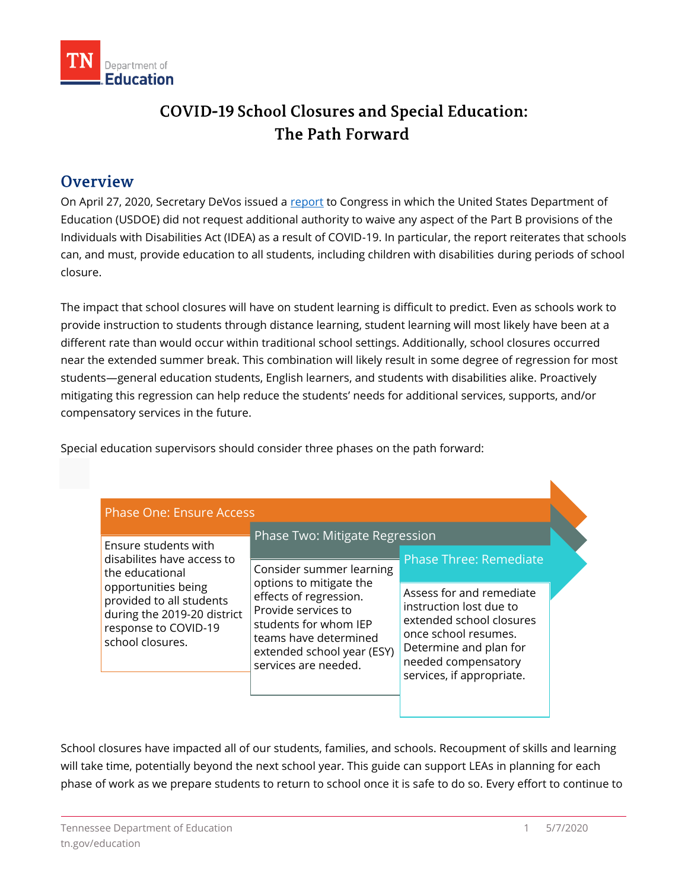

# COVID-19 School Closures and Special Education: The Path Forward

### **Overview**

On April 27, 2020, Secretary DeVos issued a **report to Congress in which the United** States Department of Education (USDOE) did not request additional authority to waive any aspect of the Part B provisions of the Individuals with Disabilities Act (IDEA) as a result of COVID-19. In particular, the report reiterates that schools can, and must, provide education to all students, including children with disabilities during periods of school closure.

 The impact that school closures will have on student learning is difficult to predict. Even as schools work to provide instruction to students through distance learning, student learning will most likely have been at a different rate than would occur within traditional school settings. Additionally, school closures occurred near the extended summer break. This combination will likely result in some degree of regression for most mitigating this regression can help reduce the students' needs for additional services, supports, and/or compensatory services in the future. students—general education students, English learners, and students with disabilities alike. Proactively

Special education supervisors should consider three phases on the path forward:

| Ensure students with<br>disabilites have access to<br>the educational<br>opportunities being<br>provided to all students<br>during the 2019-20 district<br>response to COVID-19<br>school closures. | Phase Two: Mitigate Regression                                                                                                                                                                               |                                                                                                                                                                                       |  |
|-----------------------------------------------------------------------------------------------------------------------------------------------------------------------------------------------------|--------------------------------------------------------------------------------------------------------------------------------------------------------------------------------------------------------------|---------------------------------------------------------------------------------------------------------------------------------------------------------------------------------------|--|
|                                                                                                                                                                                                     | Consider summer learning<br>options to mitigate the<br>effects of regression.<br>Provide services to<br>students for whom IEP<br>teams have determined<br>extended school year (ESY)<br>services are needed. | <b>Phase Three: Remediate</b>                                                                                                                                                         |  |
|                                                                                                                                                                                                     |                                                                                                                                                                                                              | Assess for and remediate<br>instruction lost due to<br>extended school closures<br>once school resumes.<br>Determine and plan for<br>needed compensatory<br>services, if appropriate. |  |

 School closures have impacted all of our students, families, and schools. Recoupment of skills and learning will take time, potentially beyond the next school year. This guide can support LEAs in planning for each phase of work as we prepare students to return to school once it is safe to do so. Every effort to continue to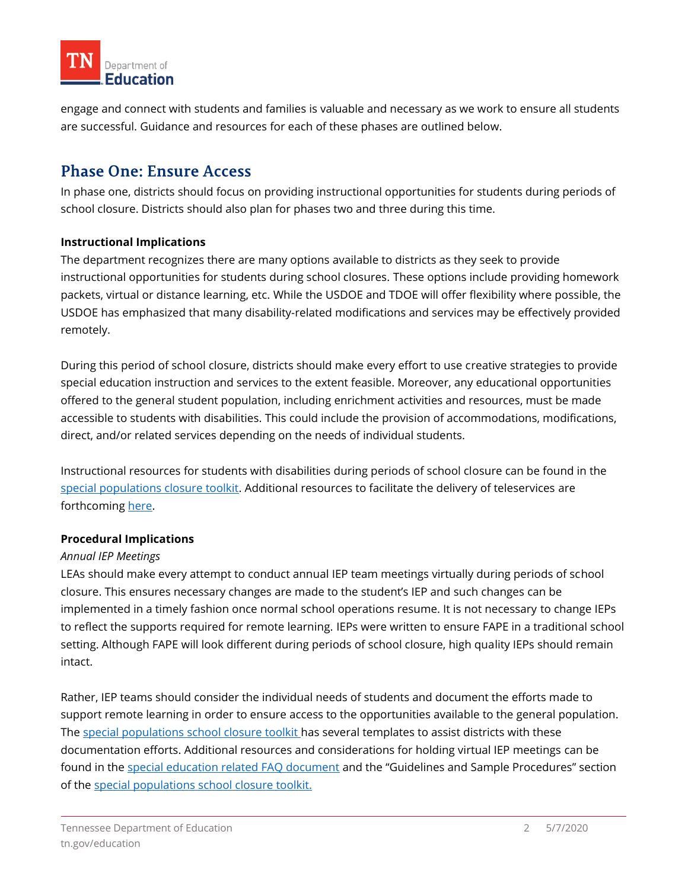

 engage and connect with students and families is valuable and necessary as we work to ensure all students are successful. Guidance and resources for each of these phases are outlined below.

## **Phase One: Ensure Access**

 In phase one, districts should focus on providing instructional opportunities for students during periods of school closure. Districts should also plan for phases two and three during this time.

#### **Instructional Implications**

 The department recognizes there are many options available to districts as they seek to provide instructional opportunities for students during school closures. These options include providing homework packets, virtual or distance learning, etc. While the USDOE and TDOE will offer flexibility where possible, the USDOE has emphasized that many disability-related modifications and services may be effectively provided remotely.

 During this period of school closure, districts should make every effort to use creative strategies to provide special education instruction and services to the extent feasible. Moreover, any educational opportunities offered to the general student population, including enrichment activities and resources, must be made accessible to students with disabilities. This could include the provision of accommodations, modifications, direct, and/or related services depending on the needs of individual students.

 Instructional resources for students with disabilities during periods of school closure can be found in the [special populations closure toolkit.](https://www.tn.gov/content/dam/tn/education/health-&-safety/School%20Closure%20Toolkit_Special%20Populations.pdf) Additional resources to facilitate the delivery of teleservices are forthcoming [here.](https://www.tn.gov/education/health-and-safety/update-on-coronavirus.html)

#### **Procedural Implications**

#### *Annual IEP Meetings*

 LEAs should make every attempt to conduct annual IEP team meetings virtually during periods of school closure. This ensures necessary changes are made to the student's IEP and such changes can be implemented in a timely fashion once normal school operations resume. It is not necessary to change IEPs to reflect the supports required for remote learning. IEPs were written to ensure FAPE in a traditional school setting. Although FAPE will look different during periods of school closure, high quality IEPs should remain intact.

 Rather, IEP teams should consider the individual needs of students and document the efforts made to support remote learning in order to ensure access to the opportunities available to the general population. The [special populations school closure toolkit h](https://www.tn.gov/content/dam/tn/education/health-&-safety/School%20Closure%20Toolkit_Special%20Populations.pdf)as several templates to assist districts with these documentation efforts. Additional resources and considerations for holding virtual IEP meetings can be of the special populations school closure toolkit. found in the [special education related FAQ document](https://www.tn.gov/content/dam/tn/education/health-&-safety/SPED%20COVID%20FAQS%20FINAL.pdf) and the "Guidelines and Sample Procedures" section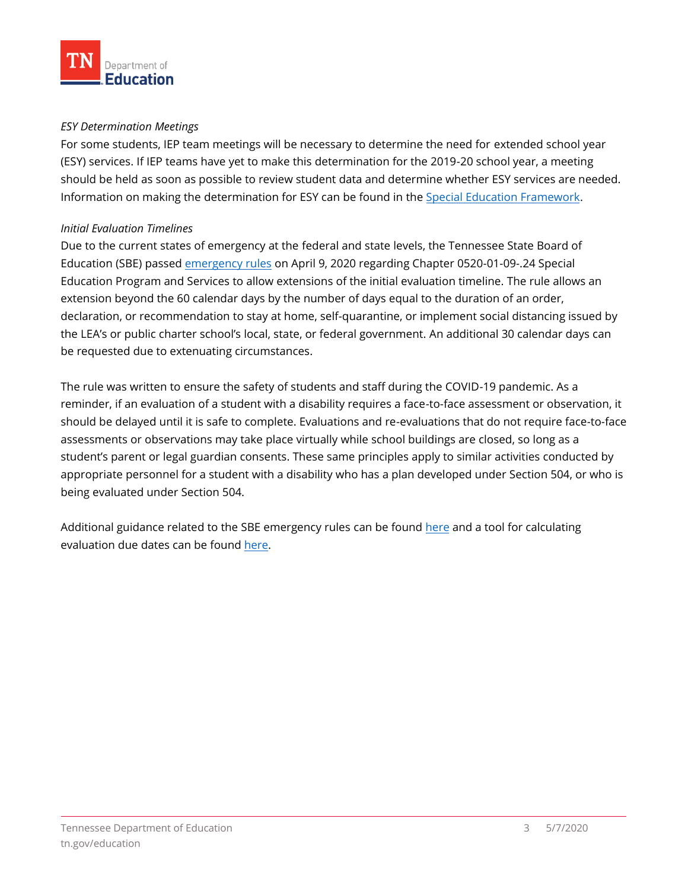#### *ESY Determination Meetings*

 For some students, IEP team meetings will be necessary to determine the need for extended school year (ESY) services. If IEP teams have yet to make this determination for the 2019-20 school year, a meeting should be held as soon as possible to review student data and determine whether ESY services are needed. Information on making the determination for ESY can be found in the [Special Education Framework.](https://www.tn.gov/content/dam/tn/education/special-education/framework/sped_framework.pdf)

#### *Initial Evaluation Timelines*

 Due to the current states of emergency at the federal and state levels, the Tennessee State Board of Education (SBE) passed <u>emergency rules</u> on April 9, 2020 regarding Chapter [0520-01-09-.24](https://0520-01-09-.24) Special Education Program and Services to allow extensions of the initial evaluation timeline. The rule allows an extension beyond the 60 calendar days by the number of days equal to the duration of an order, declaration, or recommendation to stay at home, self-quarantine, or implement social distancing issued by the LEA's or public charter school's local, state, or federal government. An additional 30 calendar days can be requested due to extenuating circumstances.

 The rule was written to ensure the safety of students and staff during the COVID-19 pandemic. As a reminder, if an evaluation of a student with a disability requires a face-to-face assessment or observation, it should be delayed until it is safe to complete. Evaluations and re-evaluations that do not require face-to-face assessments or observations may take place virtually while school buildings are closed, so long as a student's parent or legal guardian consents. These same principles apply to similar activities conducted by appropriate personnel for a student with a disability who has a plan developed under Section 504, or who is being evaluated under Section 504.

Additional guidance related to the SBE emergency rules can be found <u>here</u> and a tool for calculating evaluation due dates can be found <u>here</u>.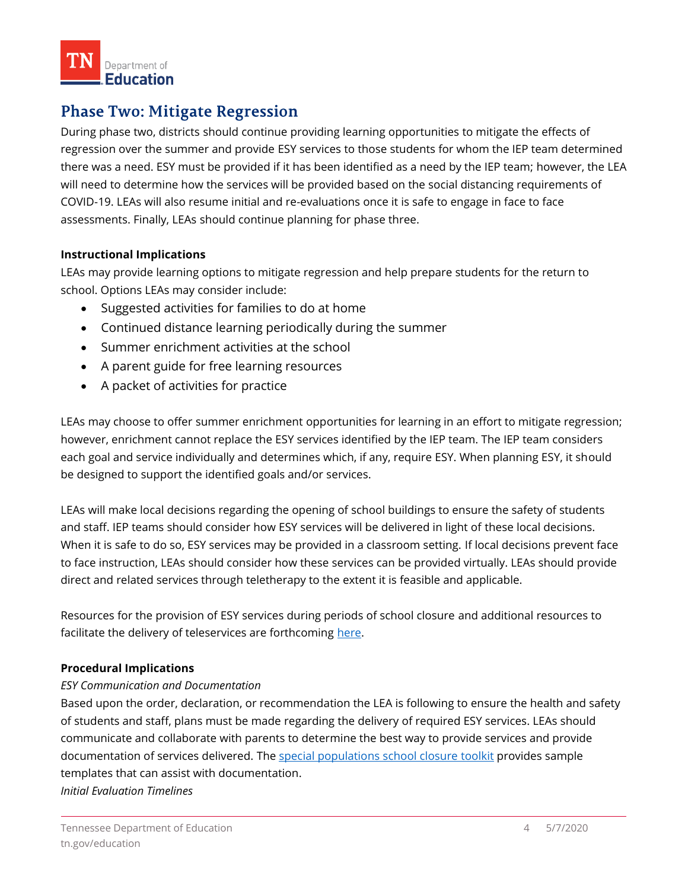

## **Phase Two: Mitigate Regression**

 During phase two, districts should continue providing learning opportunities to mitigate the effects of regression over the summer and provide ESY services to those students for whom the IEP team determined there was a need. ESY must be provided if it has been identified as a need by the IEP team; however, the LEA will need to determine how the services will be provided based on the social distancing requirements of COVID-19. LEAs will also resume initial and re-evaluations once it is safe to engage in face to face assessments. Finally, LEAs should continue planning for phase three.

#### **Instructional Implications**

 LEAs may provide learning options to mitigate regression and help prepare students for the return to school. Options LEAs may consider include:

- Suggested activities for families to do at home
- Continued distance learning periodically during the summer
- Summer enrichment activities at the school
- A parent guide for free learning resources
- A packet of activities for practice

 LEAs may choose to offer summer enrichment opportunities for learning in an effort to mitigate regression; however, enrichment cannot replace the ESY services identified by the IEP team. The IEP team considers each goal and service individually and determines which, if any, require ESY. When planning ESY, it should be designed to support the identified goals and/or services.

 LEAs will make local decisions regarding the opening of school buildings to ensure the safety of students and staff. IEP teams should consider how ESY services will be delivered in light of these local decisions. When it is safe to do so, ESY services may be provided in a classroom setting. If local decisions prevent face to face instruction, LEAs should consider how these services can be provided virtually. LEAs should provide direct and related services through teletherapy to the extent it is feasible and applicable.

 Resources for the provision of ESY services during periods of school closure and additional resources to facilitate the delivery of teleservices are forthcoming <u>here</u>.

#### **Procedural Implications**

#### *ESY Communication and Documentation*

 Based upon the order, declaration, or recommendation the LEA is following to ensure the health and safety of students and staff, plans must be made regarding the delivery of required ESY services. LEAs should communicate and collaborate with parents to determine the best way to provide services and provide documentation of services delivered. The [special populations school closure toolkit](https://www.tn.gov/content/dam/tn/education/health-&-safety/School%20Closure%20Toolkit_Special%20Populations.pdf) provides sample templates that can assist with documentation.

*Initial Evaluation Timelines*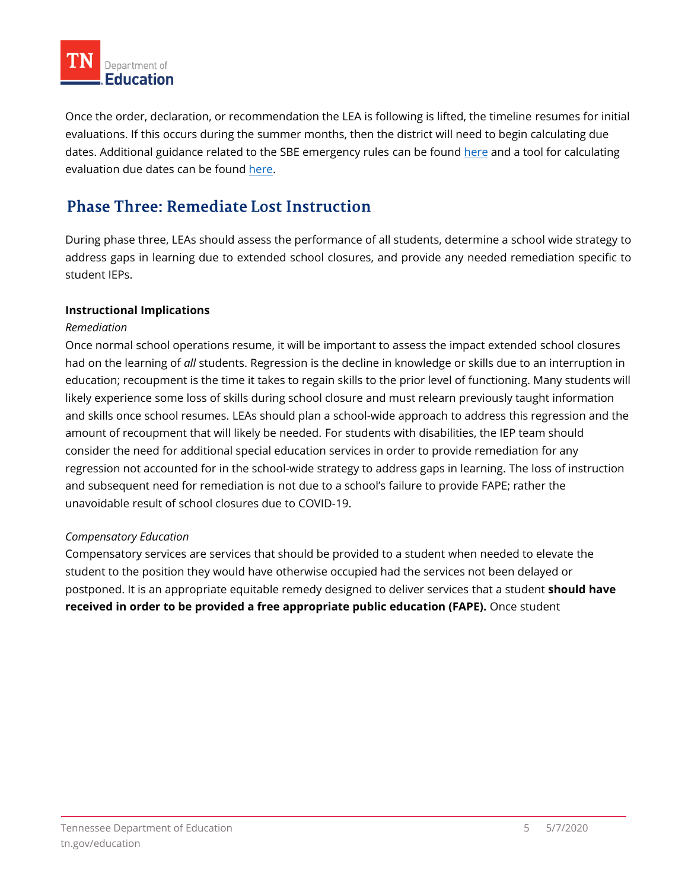

 Once the order, declaration, or recommendation the LEA is following is lifted, the timeline resumes for initial evaluations. If this occurs during the summer months, then the district will need to begin calculating due dates. Additional guidance related to the SBE emergency rules can be found [here](https://www.tn.gov/content/dam/tn/education/health-&-safety/Special%20Education%20Emergency%20Rules%204.16.20_FINAL.pdf) and a tool for calculating evaluation due dates can be found <u>here</u>.

## **Phase Three: Remediate Lost Instruction**

 During phase three, LEAs should assess the performance of all students, determine a school wide strategy to address gaps in learning due to extended school closures, and provide any needed remediation specific to [student IEPs.](https://www.tn.gov/content/dam/tn/education/health-&-safety/Guidance%20Doc_IDEA%20Technology%20Partnership%20Grant%20_FINAL.pdf) 

## **Instructional Implications**

## *Remediation*

 Once normal school operations resume, it will be important to assess the impact extended school closures had on the learning of *all* students. Regression is the decline in knowledge or skills due to an interruption in and skills once school resumes. LEAs should plan a school-wide approach to address this regression and the amount of recoupment that will likely be needed. For students with disabilities, the IEP team should consider the need for additional special education services in order to provide remediation for any and subsequent need for remediation is not due to a school's failure to provide FAPE; rather the likely experience some loss of skills during school closure and must relearn previously taught information education; recoupment is the time it takes to regain skills to the prior level of functioning. Many students will regression not accounted for in the school-wide strategy to address gaps in learning. The loss of instruction unavoidable result of school closures due to COVID-19.

### *Compensatory Education*

 Compensatory services are services that should be provided to a student when needed to elevate the student to the position they would have otherwise occupied had the services not been delayed or postponed. It is an appropriate equitable remedy designed to deliver services that a student **should have received in order to be provided a free appropriate public education (FAPE).** Once student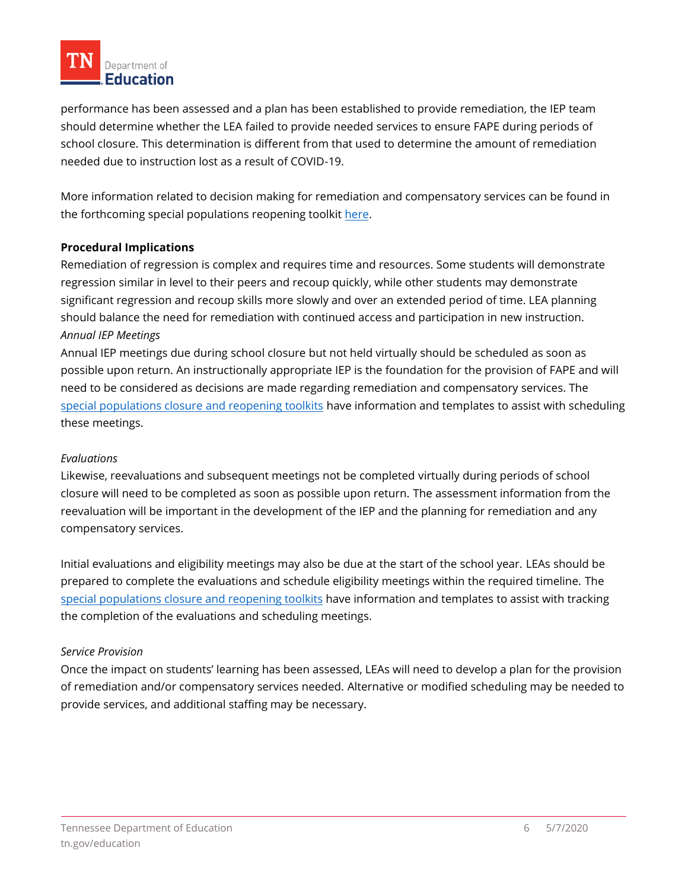

 performance has been assessed and a plan has been established to provide remediation, the IEP team should determine whether the LEA failed to provide needed services to ensure FAPE during periods of school closure. This determination is different from that used to determine the amount of remediation needed due to instruction lost as a result of COVID-19.

 More information related to decision making for remediation and compensatory services can be found in the forthcoming special populations reopening toolki[t here.](https://www.tn.gov/education/health-and-safety/update-on-coronavirus.html)

#### **Procedural Implications**

 Remediation of regression is complex and requires time and resources. Some students will demonstrate regression similar in level to their peers and recoup quickly, while other students may demonstrate significant regression and recoup skills more slowly and over an extended period of time. LEA planning should balance the need for remediation with continued access and participation in new instruction. *Annual IEP Meetings* 

 Annual IEP meetings due during school closure but not held virtually should be scheduled as soon as possible upon return. An instructionally appropriate IEP is the foundation for the provision of FAPE and will need to be considered as decisions are made regarding remediation and compensatory services. The [special populations closure and reopening toolkits](https://www.tn.gov/education/health-and-safety/update-on-coronavirus.html) have information and templates to assist with scheduling these meetings.

#### *Evaluations*

 Likewise, reevaluations and subsequent meetings not be completed virtually during periods of school closure will need to be completed as soon as possible upon return. The assessment information from the reevaluation will be important in the development of the IEP and the planning for remediation and any compensatory services.

 Initial evaluations and eligibility meetings may also be due at the start of the school year. LEAs should be prepared to complete the evaluations and schedule eligibility meetings within the required timeline. The [special populations closure and reopening toolkits](https://www.tn.gov/education/health-and-safety/update-on-coronavirus.html) have information and templates to assist with tracking the completion of the evaluations and scheduling meetings.

#### *Service Provision*

 of remediation and/or compensatory services needed. Alternative or modified scheduling may be needed to provide services, and additional staffing may be necessary. Once the impact on students' learning has been assessed, LEAs will need to develop a plan for the provision